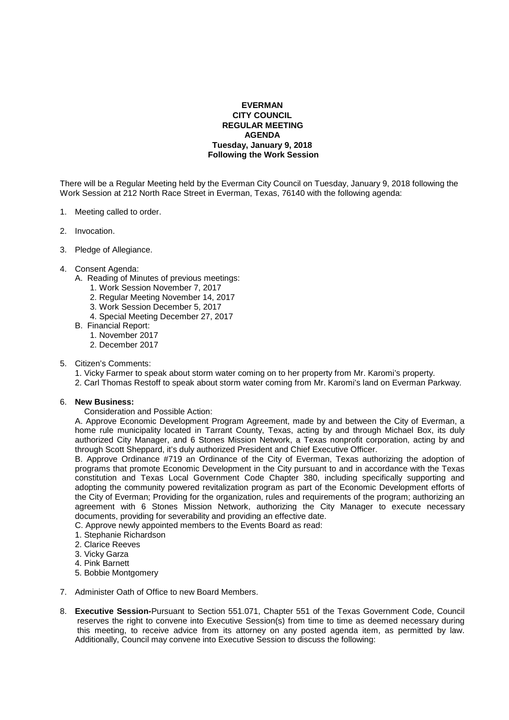## **EVERMAN CITY COUNCIL REGULAR MEETING AGENDA Tuesday, January 9, 2018 Following the Work Session**

There will be a Regular Meeting held by the Everman City Council on Tuesday, January 9, 2018 following the Work Session at 212 North Race Street in Everman, Texas, 76140 with the following agenda:

- 1. Meeting called to order.
- 2. Invocation.
- 3. Pledge of Allegiance.
- 4. Consent Agenda:
	- A. Reading of Minutes of previous meetings:
		- 1. Work Session November 7, 2017
		- 2. Regular Meeting November 14, 2017
		- 3. Work Session December 5, 2017
		- 4. Special Meeting December 27, 2017
	- B. Financial Report:
		- 1. November 2017
		- 2. December 2017
- 5. Citizen's Comments:
	- 1. Vicky Farmer to speak about storm water coming on to her property from Mr. Karomi's property.
	- 2. Carl Thomas Restoff to speak about storm water coming from Mr. Karomi's land on Everman Parkway.

## 6. **New Business:**

Consideration and Possible Action:

 A. Approve Economic Development Program Agreement, made by and between the City of Everman, a home rule municipality located in Tarrant County, Texas, acting by and through Michael Box, its duly authorized City Manager, and 6 Stones Mission Network, a Texas nonprofit corporation, acting by and through Scott Sheppard, it's duly authorized President and Chief Executive Officer.

 B. Approve Ordinance #719 an Ordinance of the City of Everman, Texas authorizing the adoption of programs that promote Economic Development in the City pursuant to and in accordance with the Texas constitution and Texas Local Government Code Chapter 380, including specifically supporting and adopting the community powered revitalization program as part of the Economic Development efforts of the City of Everman; Providing for the organization, rules and requirements of the program; authorizing an agreement with 6 Stones Mission Network, authorizing the City Manager to execute necessary documents, providing for severability and providing an effective date.

C. Approve newly appointed members to the Events Board as read:

- 1. Stephanie Richardson
- 2. Clarice Reeves
- 3. Vicky Garza
- 4. Pink Barnett
- 5. Bobbie Montgomery
- 7. Administer Oath of Office to new Board Members.
- 8. **Executive Session-**Pursuant to Section 551.071, Chapter 551 of the Texas Government Code, Council reserves the right to convene into Executive Session(s) from time to time as deemed necessary during this meeting, to receive advice from its attorney on any posted agenda item, as permitted by law. Additionally, Council may convene into Executive Session to discuss the following: